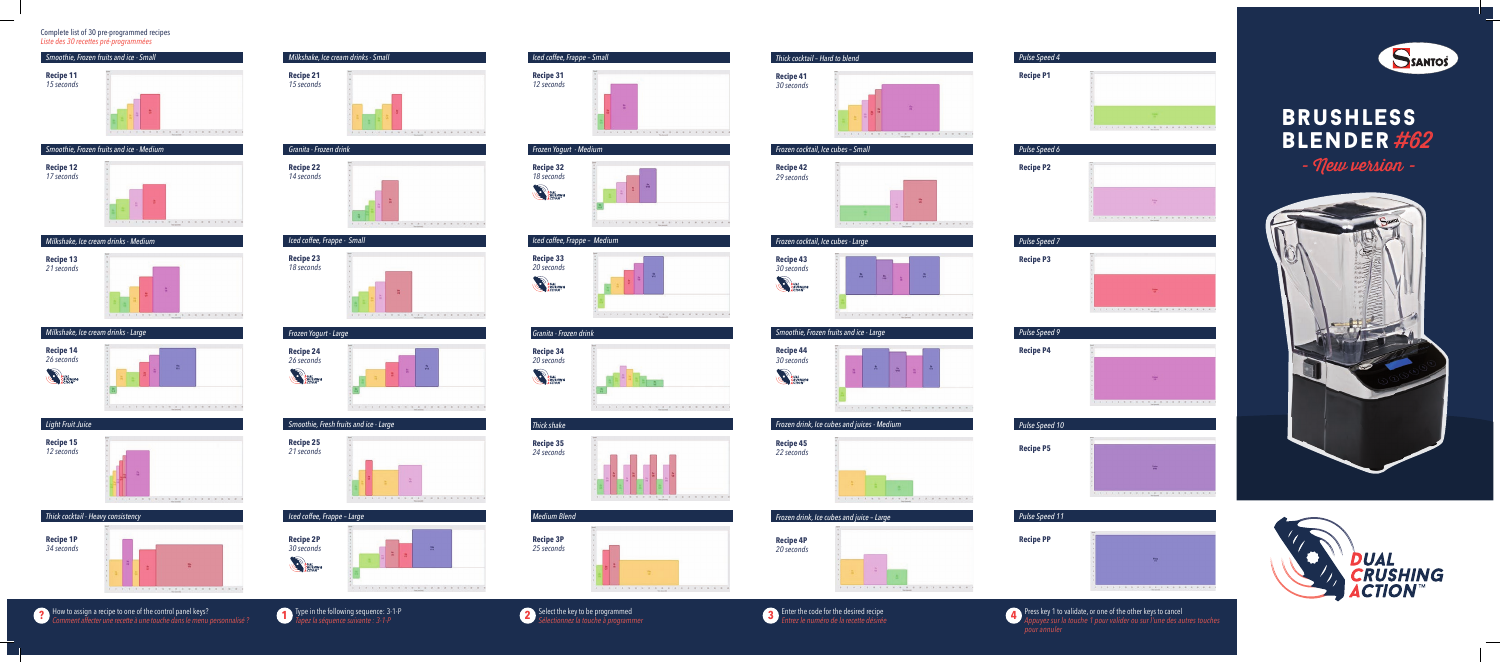







# $T$  Type in the following sequence: 3-1-P *Tapez la séquence suivante : 3-1-P*













How to assign a recipe to one of the control panel keys? **? 1 2 3 4**  $\overline{\textbf{3}}$  Enter the code for the desired recipe *Entrez le numéro de la recette désirée*

**4** Press key 1 to validate, or one of the other keys to cancel *Appuyez sur la touche 1 pour valider ou sur l'une des autres touches* 

totat their not hout to

| Smoothie, Frozen fruits and ice - Small |  |  |  |
|-----------------------------------------|--|--|--|
| Recipe 11<br>15 seconds                 |  |  |  |

# *Smoothie, Frozen fruits and ice - Medium*



## *Milkshake, Ice cream drinks - Medium*









Complete list of 30 pre-programmed recipes *Liste des 30 recettes pré-programmées*







| Frozen Yogurt - Large                                                 |             |
|-----------------------------------------------------------------------|-------------|
| <b>Recipe 24</b><br>26 seconds<br><b>DUAL<br/>CRUSHING<br/>ACTION</b> | 譶<br>a<br>a |
|                                                                       |             |





# *Iced coffee, Frappe – Small*



### *Frozen Yogurt - Medium*



# *Iced coffee, Frappe – Medium*











*Thick cocktail – Hard to blend*

**Recipe 41**  *30 seconds*

*Frozen cocktail, Ice cubes – Small*

**Recipe 42** *29 seconds*

*Frozen cocktail, Ice cubes - Large*







**Recipe 44**  *30 seconds*

**DUAL**<br>CRUSHING



**Recipe 4P**

*20 seconds*